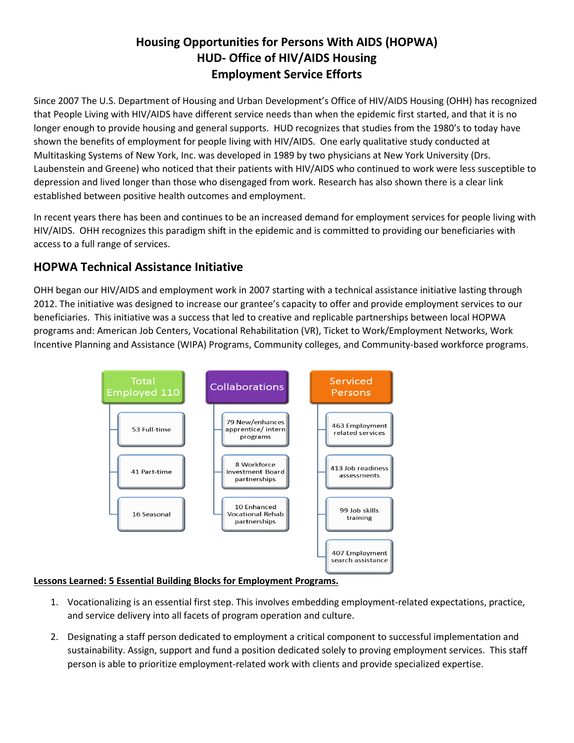# **Housing Opportunities for Persons With AIDS (HOPWA) HUD- Office of HIV/AIDS Housing Employment Service Efforts**

Since 2007 The U.S. Department of Housing and Urban Development's Office of HIV/AIDS Housing (OHH) has recognized that People Living with HIV/AIDS have different service needs than when the epidemic first started, and that it is no longer enough to provide housing and general supports. HUD recognizes that studies from the 1980's to today have shown the benefits of employment for people living with HIV/AIDS. One early qualitative study conducted at Multitasking Systems of New York, Inc. was developed in 1989 by two physicians at New York University (Drs. Laubenstein and Greene) who noticed that their patients with HIV/AIDS who continued to work were less susceptible to depression and lived longer than those who disengaged from work. Research has also shown there is a clear link established between positive health outcomes and employment.

In recent years there has been and continues to be an increased demand for employment services for people living with HIV/AIDS. OHH recognizes this paradigm shift in the epidemic and is committed to providing our beneficiaries with access to a full range of services.

# **HOPWA Technical Assistance Initiative**

OHH began our HIV/AIDS and employment work in 2007 starting with a technical assistance initiative lasting through 2012. The initiative was designed to increase our grantee's capacity to offer and provide employment services to our beneficiaries. This initiative was a success that led to creative and replicable partnerships between local HOPWA programs and: American Job Centers, Vocational Rehabilitation (VR), Ticket to Work/Employment Networks, Work Incentive Planning and Assistance (WIPA) Programs, Community colleges, and Community-based workforce programs.



#### **Lessons Learned: 5 Essential Building Blocks for Employment Programs.**

- 1. Vocationalizing is an essential first step. This involves embedding employment-related expectations, practice, and service delivery into all facets of program operation and culture.
- 2. Designating a staff person dedicated to employment a critical component to successful implementation and sustainability. Assign, support and fund a position dedicated solely to proving employment services. This staff person is able to prioritize employment-related work with clients and provide specialized expertise.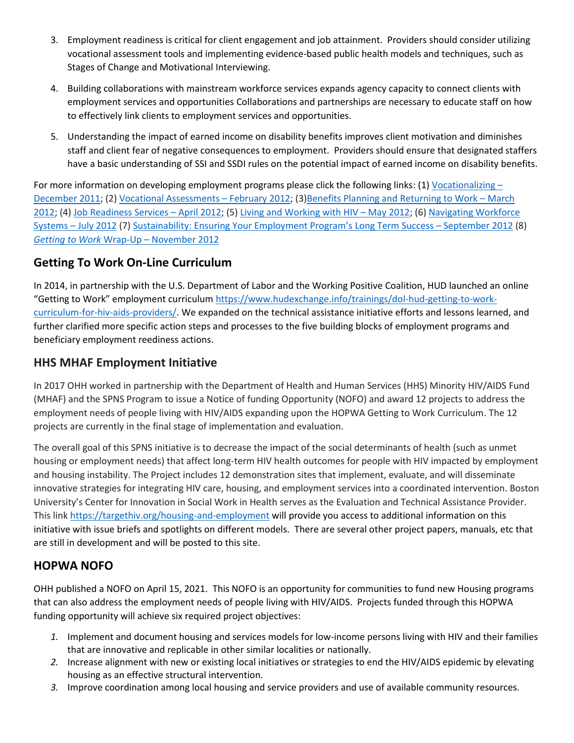- 3. Employment readiness is critical for client engagement and job attainment. Providers should consider utilizing vocational assessment tools and implementing evidence-based public health models and techniques, such as Stages of Change and Motivational Interviewing.
- 4. Building collaborations with mainstream workforce services expands agency capacity to connect clients with employment services and opportunities Collaborations and partnerships are necessary to educate staff on how to effectively link clients to employment services and opportunities.
- 5. Understanding the impact of earned income on disability benefits improves client motivation and diminishes staff and client fear of negative consequences to employment. Providers should ensure that designated staffers have a basic understanding of SSI and SSDI rules on the potential impact of earned income on disability benefits.

For more information on developing employment programs please click the following links: (1[\) Vocationalizing](http://www.vpi.org/wordpress/tap/webinars/gettingtowork/vocationalizing/) [–](http://www.vpi.org/wordpress/tap/webinars/gettingtowork/vocationalizing/) [December 2011;](http://www.vpi.org/wordpress/tap/webinars/gettingtowork/vocationalizing/) (2) [Vocational Assessments](http://www.vpi.org/wordpress/tap/webinars/gettingtowork/voc-assessment/) – February 2012; (3[\)Benefits Planning and Returning to Work](http://www.vpi.org/wordpress/tap/webinars/gettingtowork/benefits-planning/) – March [2012;](http://www.vpi.org/wordpress/tap/webinars/gettingtowork/benefits-planning/) (4[\) Job Readiness Services](http://www.vpi.org/wordpress/tap/webinars/gettingtowork/job-readiness/) – April 2012; (5) [Living and Working with HIV](http://www.vpi.org/wordpress/tap/webinars/gettingtowork/working-hiv/) – May 2012; (6) [Navigating Workforce](http://www.vpi.org/wordpress/tap/webinars/gettingtowork/workforce-systems/)  Systems – [July 2012](http://www.vpi.org/wordpress/tap/webinars/gettingtowork/workforce-systems/) (7) [Sustainability: Ensuring Your Employment Program's](http://www.vpi.org/tap/webinars/gettingtowork/sustainability) [Long Term](http://www.vpi.org/tap/webinars/gettingtowork/sustainability) Success – [September 2012](http://www.vpi.org/tap/webinars/gettingtowork/sustainability) (8) *[Getting to Work](http://www.vpi.org/tap/webinars/gettingtowork/wrap-up/)* [W](http://www.vpi.org/tap/webinars/gettingtowork/wrap-up/)rap-Up – [November 2012](http://www.vpi.org/tap/webinars/gettingtowork/wrap-up/)

### **Getting To Work On-Line Curriculum**

In 2014, in partnership with the U.S. Department of Labor and the Working Positive Coalition, HUD launched an online "Getting to Work" employment curriculum [https://www.hudexchange.info/trainings/dol-hud-getting-to-work](https://www.hudexchange.info/trainings/dol-hud-getting-to-work-curriculum-for-hiv-aids-providers/)[curriculum-for-hiv-aids-providers/.](https://www.hudexchange.info/trainings/dol-hud-getting-to-work-curriculum-for-hiv-aids-providers/) We expanded on the technical assistance initiative efforts and lessons learned, and further clarified more specific action steps and processes to the five building blocks of employment programs and beneficiary employment reediness actions.

# **HHS MHAF Employment Initiative**

In 2017 OHH worked in partnership with the Department of Health and Human Services (HHS) Minority HIV/AIDS Fund (MHAF) and the SPNS Program to issue a Notice of funding Opportunity (NOFO) and award 12 projects to address the employment needs of people living with HIV/AIDS expanding upon the HOPWA Getting to Work Curriculum. The 12 projects are currently in the final stage of implementation and evaluation.

The overall goal of this SPNS initiative is to decrease the impact of the social determinants of health (such as unmet housing or employment needs) that affect long-term HIV health outcomes for people with HIV impacted by employment and housing instability. The Project includes 12 demonstration sites that implement, evaluate, and will disseminate innovative strategies for integrating HIV care, housing, and employment services into a coordinated intervention. Boston University's Center for Innovation in Social Work in Health serves as the Evaluation and Technical Assistance Provider. This link<https://targethiv.org/housing-and-employment> will provide you access to additional information on this initiative with issue briefs and spotlights on different models. There are several other project papers, manuals, etc that are still in development and will be posted to this site.

### **HOPWA NOFO**

OHH published a NOFO on April 15, 2021. This NOFO is an opportunity for communities to fund new Housing programs that can also address the employment needs of people living with HIV/AIDS. Projects funded through this HOPWA funding opportunity will achieve six required project objectives:

- *1.* Implement and document housing and services models for low-income persons living with HIV and their families that are innovative and replicable in other similar localities or nationally.
- *2.* Increase alignment with new or existing local initiatives or strategies to end the HIV/AIDS epidemic by elevating housing as an effective structural intervention.
- *3.* Improve coordination among local housing and service providers and use of available community resources.